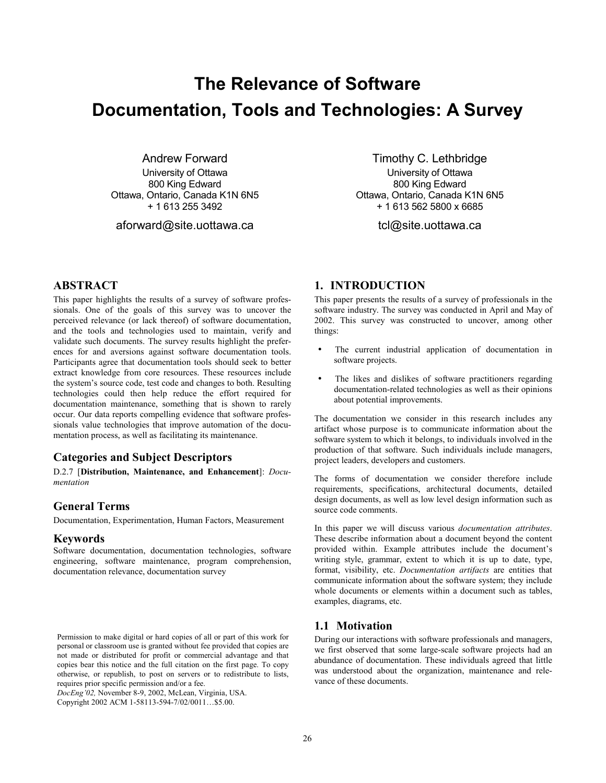# **The Relevance of Software Documentation, Tools and Technologies: A Survey**

Andrew Forward University of Ottawa 800 King Edward Ottawa, Ontario, Canada K1N 6N5 + 1 613 255 3492

aforward@site.uottawa.ca

Timothy C. Lethbridge University of Ottawa 800 King Edward Ottawa, Ontario, Canada K1N 6N5 + 1 613 562 5800 x 6685

tcl@site.uottawa.ca

## **ABSTRACT**

This paper highlights the results of a survey of software professionals. One of the goals of this survey was to uncover the perceived relevance (or lack thereof) of software documentation, and the tools and technologies used to maintain, verify and validate such documents. The survey results highlight the preferences for and aversions against software documentation tools. Participants agree that documentation tools should seek to better extract knowledge from core resources. These resources include the system's source code, test code and changes to both. Resulting technologies could then help reduce the effort required for documentation maintenance, something that is shown to rarely occur. Our data reports compelling evidence that software professionals value technologies that improve automation of the documentation process, as well as facilitating its maintenance.

# **Categories and Subject Descriptors**

D.2.7 [**Distribution, Maintenance, and Enhancement**]: *Documentation* 

## **General Terms**

Documentation, Experimentation, Human Factors, Measurement

#### **Keywords**

Software documentation, documentation technologies, software engineering, software maintenance, program comprehension, documentation relevance, documentation survey

*DocEng'02,* November 8-9, 2002, McLean, Virginia, USA.

Copyright 2002 ACM 1-58113-594-7/02/0011…\$5.00.

# **1. INTRODUCTION**

This paper presents the results of a survey of professionals in the software industry. The survey was conducted in April and May of 2002. This survey was constructed to uncover, among other things:

- The current industrial application of documentation in software projects.
- The likes and dislikes of software practitioners regarding documentation-related technologies as well as their opinions about potential improvements.

The documentation we consider in this research includes any artifact whose purpose is to communicate information about the software system to which it belongs, to individuals involved in the production of that software. Such individuals include managers, project leaders, developers and customers.

The forms of documentation we consider therefore include requirements, specifications, architectural documents, detailed design documents, as well as low level design information such as source code comments.

In this paper we will discuss various *documentation attributes*. These describe information about a document beyond the content provided within. Example attributes include the document's writing style, grammar, extent to which it is up to date, type, format, visibility, etc. *Documentation artifacts* are entities that communicate information about the software system; they include whole documents or elements within a document such as tables, examples, diagrams, etc.

#### **1.1 Motivation**

During our interactions with software professionals and managers, we first observed that some large-scale software projects had an abundance of documentation. These individuals agreed that little was understood about the organization, maintenance and relevance of these documents.

Permission to make digital or hard copies of all or part of this work for personal or classroom use is granted without fee provided that copies are not made or distributed for profit or commercial advantage and that copies bear this notice and the full citation on the first page. To copy otherwise, or republish, to post on servers or to redistribute to lists, requires prior specific permission and/or a fee.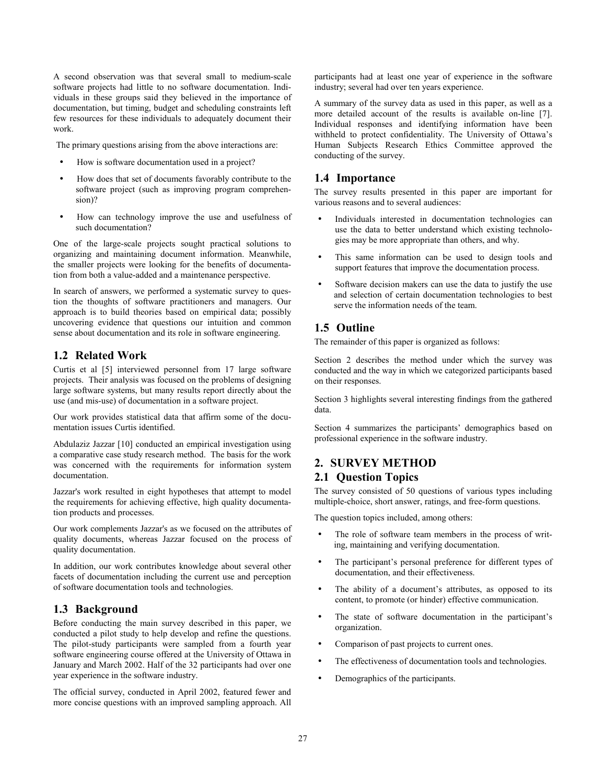A second observation was that several small to medium-scale software projects had little to no software documentation. Individuals in these groups said they believed in the importance of documentation, but timing, budget and scheduling constraints left few resources for these individuals to adequately document their work.

The primary questions arising from the above interactions are:

- How is software documentation used in a project?
- How does that set of documents favorably contribute to the software project (such as improving program comprehension)?
- How can technology improve the use and usefulness of such documentation?

One of the large-scale projects sought practical solutions to organizing and maintaining document information. Meanwhile, the smaller projects were looking for the benefits of documentation from both a value-added and a maintenance perspective.

In search of answers, we performed a systematic survey to question the thoughts of software practitioners and managers. Our approach is to build theories based on empirical data; possibly uncovering evidence that questions our intuition and common sense about documentation and its role in software engineering.

# **1.2 Related Work**

Curtis et al [\[5\]](#page-7-0) interviewed personnel from 17 large software projects. Their analysis was focused on the problems of designing large software systems, but many results report directly about the use (and mis-use) of documentation in a software project.

Our work provides statistical data that affirm some of the documentation issues Curtis identified.

Abdulaziz Jazzar [\[10\]](#page-7-0) conducted an empirical investigation using a comparative case study research method. The basis for the work was concerned with the requirements for information system documentation.

Jazzar's work resulted in eight hypotheses that attempt to model the requirements for achieving effective, high quality documentation products and processes.

Our work complements Jazzar's as we focused on the attributes of quality documents, whereas Jazzar focused on the process of quality documentation.

In addition, our work contributes knowledge about several other facets of documentation including the current use and perception of software documentation tools and technologies.

# **1.3 Background**

Before conducting the main survey described in this paper, we conducted a pilot study to help develop and refine the questions. The pilot-study participants were sampled from a fourth year software engineering course offered at the University of Ottawa in January and March 2002. Half of the 32 participants had over one year experience in the software industry.

The official survey, conducted in April 2002, featured fewer and more concise questions with an improved sampling approach. All participants had at least one year of experience in the software industry; several had over ten years experience.

A summary of the survey data as used in this paper, as well as a more detailed account of the results is available on-line [\[7\].](#page-7-0) Individual responses and identifying information have been withheld to protect confidentiality. The University of Ottawa's Human Subjects Research Ethics Committee approved the conducting of the survey.

# **1.4 Importance**

The survey results presented in this paper are important for various reasons and to several audiences:

- Individuals interested in documentation technologies can use the data to better understand which existing technologies may be more appropriate than others, and why.
- This same information can be used to design tools and support features that improve the documentation process.
- Software decision makers can use the data to justify the use and selection of certain documentation technologies to best serve the information needs of the team.

# **1.5 Outline**

The remainder of this paper is organized as follows:

Section 2 describes the method under which the survey was conducted and the way in which we categorized participants based on their responses.

Section [3](#page-2-0) highlights several interesting findings from the gathered data.

Section [4](#page-6-0) summarizes the participants' demographics based on professional experience in the software industry.

# **2. SURVEY METHOD 2.1 Question Topics**

The survey consisted of 50 questions of various types including multiple-choice, short answer, ratings, and free-form questions.

The question topics included, among others:

- The role of software team members in the process of writing, maintaining and verifying documentation.
- The participant's personal preference for different types of documentation, and their effectiveness.
- The ability of a document's attributes, as opposed to its content, to promote (or hinder) effective communication.
- The state of software documentation in the participant's organization.
- Comparison of past projects to current ones.
- The effectiveness of documentation tools and technologies.
- Demographics of the participants.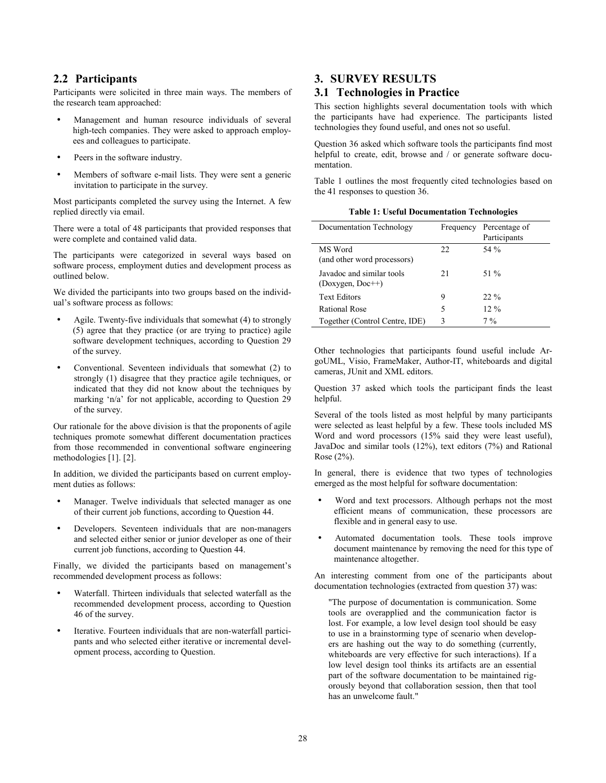# <span id="page-2-0"></span>**2.2 Participants**

Participants were solicited in three main ways. The members of the research team approached:

- Management and human resource individuals of several high-tech companies. They were asked to approach employees and colleagues to participate.
- Peers in the software industry.
- Members of software e-mail lists. They were sent a generic invitation to participate in the survey.

Most participants completed the survey using the Internet. A few replied directly via email.

There were a total of 48 participants that provided responses that were complete and contained valid data.

The participants were categorized in several ways based on software process, employment duties and development process as outlined below.

We divided the participants into two groups based on the individual's software process as follows:

- Agile. Twenty-five individuals that somewhat (4) to strongly (5) agree that they practice (or are trying to practice) agile software development techniques, according to Question 29 of the survey.
- Conventional. Seventeen individuals that somewhat (2) to strongly (1) disagree that they practice agile techniques, or indicated that they did not know about the techniques by marking 'n/a' for not applicable, according to Question 29 of the survey.

Our rationale for the above division is that the proponents of agile techniques promote somewhat different documentation practices from those recommended in conventional software engineering methodologies [\[1\]. \[2\].](#page-7-0)

In addition, we divided the participants based on current employment duties as follows:

- Manager. Twelve individuals that selected manager as one of their current job functions, according to Question 44.
- Developers. Seventeen individuals that are non-managers and selected either senior or junior developer as one of their current job functions, according to Question 44.

Finally, we divided the participants based on management's recommended development process as follows:

- Waterfall. Thirteen individuals that selected waterfall as the recommended development process, according to Question 46 of the survey.
- Iterative. Fourteen individuals that are non-waterfall participants and who selected either iterative or incremental development process, according to Question.

# **3. SURVEY RESULTS**

# **3.1 Technologies in Practice**

This section highlights several documentation tools with which the participants have had experience. The participants listed technologies they found useful, and ones not so useful.

Question 36 asked which software tools the participants find most helpful to create, edit, browse and / or generate software documentation.

Table 1 outlines the most frequently cited technologies based on the 41 responses to question 36.

|  |  | <b>Table 1: Useful Documentation Technologies</b> |  |
|--|--|---------------------------------------------------|--|
|--|--|---------------------------------------------------|--|

| Documentation Technology                        | Frequency | Percentage of<br>Participants |
|-------------------------------------------------|-----------|-------------------------------|
| MS Word<br>(and other word processors)          | 22        | 54 %                          |
| Javadoc and similar tools<br>$(Doxygen, Doc++)$ | 21        | 51 %                          |
| <b>Text Editors</b>                             | 9         | $22. \%$                      |
| Rational Rose                                   | 5         | $12\%$                        |
| Together (Control Centre, IDE)                  | 3         | 7 %                           |

Other technologies that participants found useful include ArgoUML, Visio, FrameMaker, Author-IT, whiteboards and digital cameras, JUnit and XML editors.

Question 37 asked which tools the participant finds the least helpful.

Several of the tools listed as most helpful by many participants were selected as least helpful by a few. These tools included MS Word and word processors (15% said they were least useful), JavaDoc and similar tools (12%), text editors (7%) and Rational Rose (2%).

In general, there is evidence that two types of technologies emerged as the most helpful for software documentation:

- Word and text processors. Although perhaps not the most efficient means of communication, these processors are flexible and in general easy to use.
- Automated documentation tools. These tools improve document maintenance by removing the need for this type of maintenance altogether.

An interesting comment from one of the participants about documentation technologies (extracted from question 37) was:

"The purpose of documentation is communication. Some tools are overapplied and the communication factor is lost. For example, a low level design tool should be easy to use in a brainstorming type of scenario when developers are hashing out the way to do something (currently, whiteboards are very effective for such interactions). If a low level design tool thinks its artifacts are an essential part of the software documentation to be maintained rigorously beyond that collaboration session, then that tool has an unwelcome fault."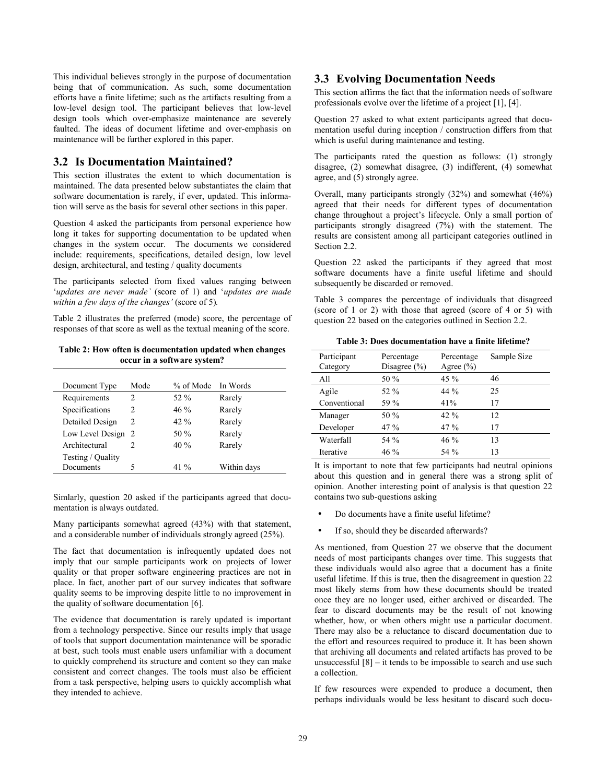<span id="page-3-0"></span>This individual believes strongly in the purpose of documentation being that of communication. As such, some documentation efforts have a finite lifetime; such as the artifacts resulting from a low-level design tool. The participant believes that low-level design tools which over-emphasize maintenance are severely faulted. The ideas of document lifetime and over-emphasis on maintenance will be further explored in this paper.

#### **3.2 Is Documentation Maintained?**

This section illustrates the extent to which documentation is maintained. The data presented below substantiates the claim that software documentation is rarely, if ever, updated. This information will serve as the basis for several other sections in this paper.

Question 4 asked the participants from personal experience how long it takes for supporting documentation to be updated when changes in the system occur. The documents we considered include: requirements, specifications, detailed design, low level design, architectural, and testing / quality documents

The participants selected from fixed values ranging between '*updates are never made'* (score of 1) and '*updates are made within a few days of the changes'* (score of 5)*.* 

Table 2 illustrates the preferred (mode) score, the percentage of responses of that score as well as the textual meaning of the score.

**Table 2: How often is documentation updated when changes occur in a software system?** 

| Document Type      | Mode | % of Mode | In Words    |
|--------------------|------|-----------|-------------|
| Requirements       | 2    | 52 %      | Rarely      |
| Specifications     | 2    | $46\%$    | Rarely      |
| Detailed Design    | 2    | $42. \%$  | Rarely      |
| Low Level Design 2 |      | 50 $\%$   | Rarely      |
| Architectural      |      | 40%       | Rarely      |
| Testing / Quality  |      |           |             |
| Documents          |      | 41 %      | Within days |

Simlarly, question 20 asked if the participants agreed that documentation is always outdated.

Many participants somewhat agreed (43%) with that statement, and a considerable number of individuals strongly agreed (25%).

The fact that documentation is infrequently updated does not imply that our sample participants work on projects of lower quality or that proper software engineering practices are not in place. In fact, another part of our survey indicates that software quality seems to be improving despite little to no improvement in the quality of software documentation [\[6\].](#page-7-0)

The evidence that documentation is rarely updated is important from a technology perspective. Since our results imply that usage of tools that support documentation maintenance will be sporadic at best, such tools must enable users unfamiliar with a document to quickly comprehend its structure and content so they can make consistent and correct changes. The tools must also be efficient from a task perspective, helping users to quickly accomplish what they intended to achieve.

# **3.3 Evolving Documentation Needs**

This section affirms the fact that the information needs of software professionals evolve over the lifetime of a project [\[1\],](#page-7-0) [\[4\].](#page-7-0)

Question 27 asked to what extent participants agreed that documentation useful during inception / construction differs from that which is useful during maintenance and testing.

The participants rated the question as follows: (1) strongly disagree, (2) somewhat disagree, (3) indifferent, (4) somewhat agree, and (5) strongly agree.

Overall, many participants strongly (32%) and somewhat (46%) agreed that their needs for different types of documentation change throughout a project's lifecycle. Only a small portion of participants strongly disagreed (7%) with the statement. The results are consistent among all participant categories outlined in Section [2.2.](#page-2-0)

Question 22 asked the participants if they agreed that most software documents have a finite useful lifetime and should subsequently be discarded or removed.

Table 3 compares the percentage of individuals that disagreed (score of 1 or 2) with those that agreed (score of 4 or 5) with question 22 based on the categories outlined in Section [2.2.](#page-2-0)

**Table 3: Does documentation have a finite lifetime?** 

| Participant<br>Category | Percentage<br>Disagree $(\% )$ | Percentage<br>Agree $(\% )$ | Sample Size |
|-------------------------|--------------------------------|-----------------------------|-------------|
| All                     | 50 %                           | 45 %                        | 46          |
| Agile                   | 52 %                           | 44 %                        | 25          |
| Conventional            | 59 %                           | 41%                         | 17          |
| Manager                 | 50 %                           | $42\%$                      | 12          |
| Developer               | 47 %                           | $47\%$                      | 17          |
| Waterfall               | 54 %                           | $46\%$                      | 13          |
| Iterative               | 46 %                           | 54 %                        | 13          |

It is important to note that few participants had neutral opinions about this question and in general there was a strong split of opinion. Another interesting point of analysis is that question 22 contains two sub-questions asking

- Do documents have a finite useful lifetime?
- If so, should they be discarded afterwards?

As mentioned, from Question 27 we observe that the document needs of most participants changes over time. This suggests that these individuals would also agree that a document has a finite useful lifetime. If this is true, then the disagreement in question 22 most likely stems from how these documents should be treated once they are no longer used, either archived or discarded. The fear to discard documents may be the result of not knowing whether, how, or when others might use a particular document. There may also be a reluctance to discard documentation due to the effort and resources required to produce it. It has been shown that archiving all documents and related artifacts has proved to be unsuccessful  $[8]$  – it tends to be impossible to search and use such a collection.

If few resources were expended to produce a document, then perhaps individuals would be less hesitant to discard such docu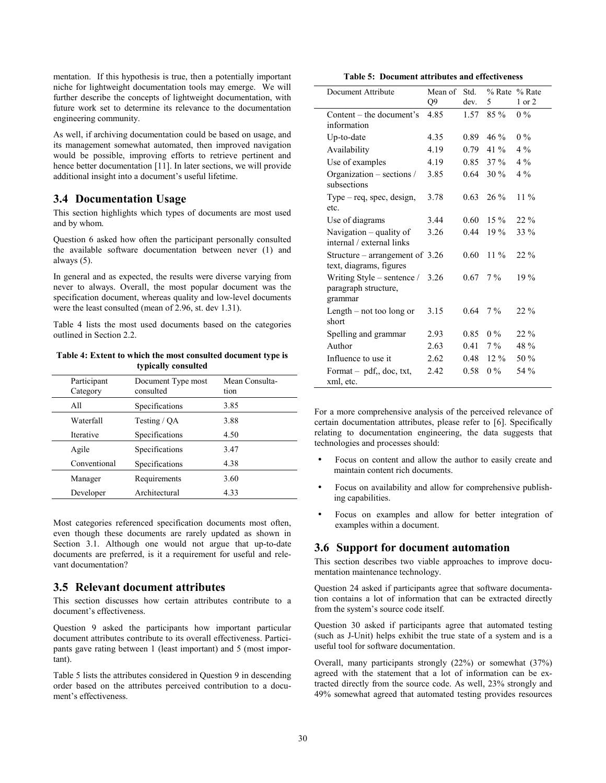mentation. If this hypothesis is true, then a potentially important niche for lightweight documentation tools may emerge. We will further describe the concepts of lightweight documentation, with future work set to determine its relevance to the documentation engineering community.

As well, if archiving documentation could be based on usage, and its management somewhat automated, then improved navigation would be possible, improving efforts to retrieve pertinent and hence better documentation [\[11\].](#page-7-0) In later sections, we will provide additional insight into a document's useful lifetime.

# **3.4 Documentation Usage**

This section highlights which types of documents are most used and by whom.

Question 6 asked how often the participant personally consulted the available software documentation between never (1) and always (5).

In general and as expected, the results were diverse varying from never to always. Overall, the most popular document was the specification document, whereas quality and low-level documents were the least consulted (mean of 2.96, st. dev 1.31).

Table 4 lists the most used documents based on the categories outlined in Section [2.2.](#page-2-0)

**Table 4: Extent to which the most consulted document type is typically consulted** 

| Participant<br>Category | Document Type most<br>consulted | Mean Consulta-<br>tion |
|-------------------------|---------------------------------|------------------------|
| All                     | Specifications                  | 3.85                   |
| Waterfall               | Testing / QA                    | 3.88                   |
| Iterative               | Specifications                  | 4.50                   |
| Agile                   | Specifications                  | 3.47                   |
| Conventional            | Specifications                  | 4.38                   |
| Manager                 | Requirements                    | 3.60                   |
| Developer               | Architectural                   | 4.33                   |

Most categories referenced specification documents most often, even though these documents are rarely updated as shown in Section 3.1. Although one would not argue that up-to-date documents are preferred, is it a requirement for useful and relevant documentation?

# **3.5 Relevant document attributes**

This section discusses how certain attributes contribute to a document's effectiveness.

Question 9 asked the participants how important particular document attributes contribute to its overall effectiveness. Participants gave rating between 1 (least important) and 5 (most important).

Table 5 lists the attributes considered in Question 9 in descending order based on the attributes perceived contribution to a document's effectiveness.

**Table 5: Document attributes and effectiveness** 

| Document Attribute                                            | Mean of<br>Q9 | Std.<br>dev. | % Rate<br>5 | % Rate<br>1 or 2 |
|---------------------------------------------------------------|---------------|--------------|-------------|------------------|
| Content – the document's<br>information                       | 4.85          | 1.57         | $85\%$      | $0\%$            |
| Up-to-date                                                    | 4.35          | 0.89         | $46\%$      | $0\%$            |
| Availability                                                  | 4.19          | 0.79         | 41 $%$      | $4\%$            |
| Use of examples                                               | 4.19          | 0.85         | 37%         | $4\%$            |
| Organization – sections /<br>subsections                      | 3.85          | 0.64         | 30%         | $4\%$            |
| $Type - req$ , spec, design,<br>etc.                          | 3.78          | 0.63         | $26\%$      | $11\%$           |
| Use of diagrams                                               | 3.44          | 0.60         | $15\%$      | 22 %             |
| Navigation – quality of<br>internal / external links          | 3.26          | 0.44         | 19%         | 33 %             |
| Structure – arrangement of $3.26$<br>text, diagrams, figures  |               | 0.60         | $11\%$      | $22\%$           |
| Writing Style – sentence /<br>paragraph structure,<br>grammar | 3.26          | 0.67         | $7\%$       | 19%              |
| Length $-$ not too long or<br>short                           | 3.15          | 0.64         | $7\%$       | $22\%$           |
| Spelling and grammar                                          | 2.93          | 0.85         | $0\%$       | $22\%$           |
| Author                                                        | 2.63          | 0.41         | $7\%$       | 48 %             |
| Influence to use it                                           | 2.62          | 0.48         | $12\%$      | 50 %             |
| Format – $pdf_{n}$ , doc, txt,<br>xml, etc.                   | 2.42          | 0.58         | $0\%$       | 54 %             |

For a more comprehensive analysis of the perceived relevance of certain documentation attributes, please refer to [\[6\].](#page-7-0) Specifically relating to documentation engineering, the data suggests that technologies and processes should:

- Focus on content and allow the author to easily create and maintain content rich documents.
- Focus on availability and allow for comprehensive publishing capabilities.
- Focus on examples and allow for better integration of examples within a document.

# **3.6 Support for document automation**

This section describes two viable approaches to improve documentation maintenance technology.

Question 24 asked if participants agree that software documentation contains a lot of information that can be extracted directly from the system's source code itself.

Question 30 asked if participants agree that automated testing (such as J-Unit) helps exhibit the true state of a system and is a useful tool for software documentation.

Overall, many participants strongly (22%) or somewhat (37%) agreed with the statement that a lot of information can be extracted directly from the source code. As well, 23% strongly and 49% somewhat agreed that automated testing provides resources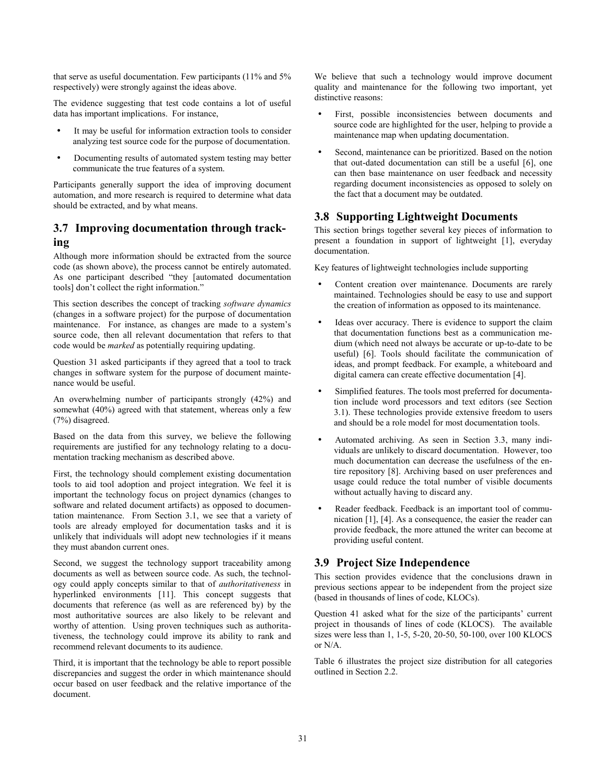that serve as useful documentation. Few participants (11% and 5% respectively) were strongly against the ideas above.

The evidence suggesting that test code contains a lot of useful data has important implications. For instance,

- It may be useful for information extraction tools to consider analyzing test source code for the purpose of documentation.
- Documenting results of automated system testing may better communicate the true features of a system.

Participants generally support the idea of improving document automation, and more research is required to determine what data should be extracted, and by what means.

# **3.7 Improving documentation through tracking**

Although more information should be extracted from the source code (as shown above), the process cannot be entirely automated. As one participant described "they [automated documentation tools] don't collect the right information."

This section describes the concept of tracking *software dynamics* (changes in a software project) for the purpose of documentation maintenance. For instance, as changes are made to a system's source code, then all relevant documentation that refers to that code would be *marked* as potentially requiring updating.

Question 31 asked participants if they agreed that a tool to track changes in software system for the purpose of document maintenance would be useful.

An overwhelming number of participants strongly (42%) and somewhat (40%) agreed with that statement, whereas only a few (7%) disagreed.

Based on the data from this survey, we believe the following requirements are justified for any technology relating to a documentation tracking mechanism as described above.

First, the technology should complement existing documentation tools to aid tool adoption and project integration. We feel it is important the technology focus on project dynamics (changes to software and related document artifacts) as opposed to documentation maintenance. From Section [3.1,](#page-2-0) we see that a variety of tools are already employed for documentation tasks and it is unlikely that individuals will adopt new technologies if it means they must abandon current ones.

Second, we suggest the technology support traceability among documents as well as between source code. As such, the technology could apply concepts similar to that of *authoritativeness* in hyperlinked environments [\[11\].](#page-7-0) This concept suggests that documents that reference (as well as are referenced by) by the most authoritative sources are also likely to be relevant and worthy of attention. Using proven techniques such as authoritativeness, the technology could improve its ability to rank and recommend relevant documents to its audience.

Third, it is important that the technology be able to report possible discrepancies and suggest the order in which maintenance should occur based on user feedback and the relative importance of the document.

We believe that such a technology would improve document quality and maintenance for the following two important, yet distinctive reasons:

- First, possible inconsistencies between documents and source code are highlighted for the user, helping to provide a maintenance map when updating documentation.
- Second, maintenance can be prioritized. Based on the notion that out-dated documentation can still be a useful [\[6\],](#page-7-0) one can then base maintenance on user feedback and necessity regarding document inconsistencies as opposed to solely on the fact that a document may be outdated.

# **3.8 Supporting Lightweight Documents**

This section brings together several key pieces of information to present a foundation in support of lightweight [\[1\],](#page-7-0) everyday documentation.

Key features of lightweight technologies include supporting

- Content creation over maintenance. Documents are rarely maintained. Technologies should be easy to use and support the creation of information as opposed to its maintenance.
- Ideas over accuracy. There is evidence to support the claim that documentation functions best as a communication medium (which need not always be accurate or up-to-date to be useful) [\[6\].](#page-7-0) Tools should facilitate the communication of ideas, and prompt feedback. For example, a whiteboard and digital camera can create effective documentation [\[4\].](#page-7-0)
- Simplified features. The tools most preferred for documentation include word processors and text editors (see Section [3.1\)](#page-2-0). These technologies provide extensive freedom to users and should be a role model for most documentation tools.
- Automated archiving. As seen in Section [3.3,](#page-3-0) many individuals are unlikely to discard documentation. However, too much documentation can decrease the usefulness of the entire repository [\[8\].](#page-7-0) Archiving based on user preferences and usage could reduce the total number of visible documents without actually having to discard any.
- Reader feedback. Feedback is an important tool of communication [\[1\], \[4\].](#page-7-0) As a consequence, the easier the reader can provide feedback, the more attuned the writer can become at providing useful content.

# **3.9 Project Size Independence**

This section provides evidence that the conclusions drawn in previous sections appear to be independent from the project size (based in thousands of lines of code, KLOCs).

Question 41 asked what for the size of the participants' current project in thousands of lines of code (KLOCS). The available sizes were less than 1, 1-5, 5-20, 20-50, 50-100, over 100 KLOCS or N/A.

[Table 6](#page-6-0) illustrates the project size distribution for all categories outlined in Section [2.2.](#page-2-0)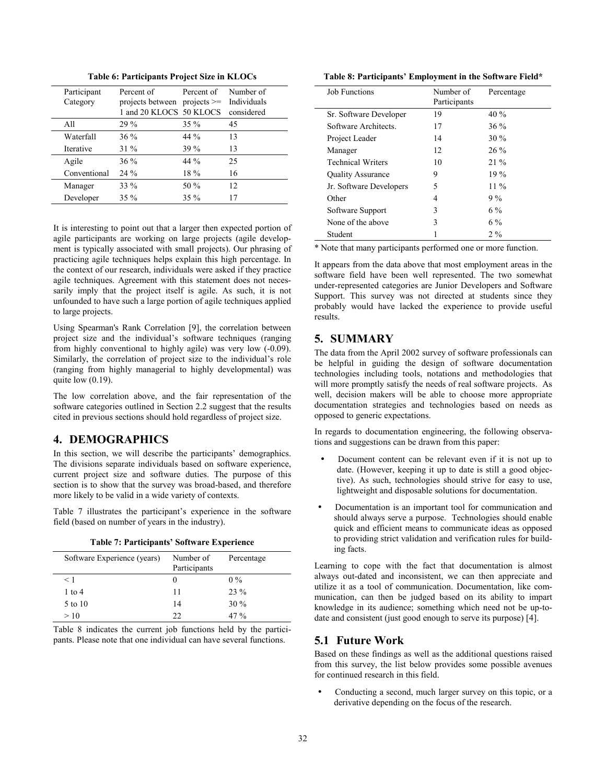<span id="page-6-0"></span>

| Participant<br>Category | Percent of<br>projects between projects $\geq$ | Percent of | Number of<br>Individuals |
|-------------------------|------------------------------------------------|------------|--------------------------|
|                         |                                                |            |                          |
|                         | 1 and 20 KLOCS 50 KLOCS                        |            | considered               |
| All                     | 29 %                                           | $35\%$     | 45                       |
| Waterfall               | 36 %                                           | 44 %       | 13                       |
| Iterative               | 31 %                                           | 39 %       | 13                       |
| Agile                   | 36 %                                           | 44 %       | 25                       |
| Conventional            | 24 %                                           | 18 %       | 16                       |
| Manager                 | 33 %                                           | 50 %       | 12                       |
| Developer               | $35\%$                                         | $35\%$     | 17                       |

**Table 6: Participants Project Size in KLOCs** 

It is interesting to point out that a larger then expected portion of agile participants are working on large projects (agile development is typically associated with small projects). Our phrasing of practicing agile techniques helps explain this high percentage. In the context of our research, individuals were asked if they practice agile techniques. Agreement with this statement does not necessarily imply that the project itself is agile. As such, it is not unfounded to have such a large portion of agile techniques applied to large projects.

Using Spearman's Rank Correlation [\[9\],](#page-7-0) the correlation between project size and the individual's software techniques (ranging from highly conventional to highly agile) was very low (-0.09). Similarly, the correlation of project size to the individual's role (ranging from highly managerial to highly developmental) was quite low  $(0.19)$ .

The low correlation above, and the fair representation of the software categories outlined in Section [2.2](#page-2-0) suggest that the results cited in previous sections should hold regardless of project size.

# **4. DEMOGRAPHICS**

In this section, we will describe the participants' demographics. The divisions separate individuals based on software experience, current project size and software duties. The purpose of this section is to show that the survey was broad-based, and therefore more likely to be valid in a wide variety of contexts.

Table 7 illustrates the participant's experience in the software field (based on number of years in the industry).

| Software Experience (years) | Number of<br>Participants | Percentage |
|-----------------------------|---------------------------|------------|
| $\leq 1$                    | $_{0}$                    | $0\%$      |
| $1$ to $4$                  | 11                        | $23\%$     |
| 5 to 10                     | 14                        | $30\%$     |
| >10                         | 22                        | $47\%$     |

Table 8 indicates the current job functions held by the participants. Please note that one individual can have several functions.

**Table 8: Participants' Employment in the Software Field\*** 

| <b>Job Functions</b>     | Number of<br>Participants | Percentage |
|--------------------------|---------------------------|------------|
| Sr. Software Developer   | 19                        | $40\%$     |
| Software Architects.     | 17                        | $36\%$     |
| Project Leader           | 14                        | $30\%$     |
| Manager                  | 12                        | $26\%$     |
| <b>Technical Writers</b> | 10                        | $21\%$     |
| <b>Quality Assurance</b> | 9                         | $19\%$     |
| Jr. Software Developers  | 5                         | $11\%$     |
| Other                    | 4                         | $9\%$      |
| Software Support         | 3                         | 6 %        |
| None of the above        | 3                         | $6\%$      |
| Student                  |                           | $2\%$      |

\* Note that many participants performed one or more function.

It appears from the data above that most employment areas in the software field have been well represented. The two somewhat under-represented categories are Junior Developers and Software Support. This survey was not directed at students since they probably would have lacked the experience to provide useful results.

# **5. SUMMARY**

The data from the April 2002 survey of software professionals can be helpful in guiding the design of software documentation technologies including tools, notations and methodologies that will more promptly satisfy the needs of real software projects. As well, decision makers will be able to choose more appropriate documentation strategies and technologies based on needs as opposed to generic expectations.

In regards to documentation engineering, the following observations and suggestions can be drawn from this paper:

- Document content can be relevant even if it is not up to date. (However, keeping it up to date is still a good objective). As such, technologies should strive for easy to use, lightweight and disposable solutions for documentation.
- Documentation is an important tool for communication and should always serve a purpose. Technologies should enable quick and efficient means to communicate ideas as opposed to providing strict validation and verification rules for building facts.

Learning to cope with the fact that documentation is almost always out-dated and inconsistent, we can then appreciate and utilize it as a tool of communication. Documentation, like communication, can then be judged based on its ability to impart knowledge in its audience; something which need not be up-todate and consistent (just good enough to serve its purpose) [\[4\].](#page-7-0) 

#### **5.1 Future Work**

Based on these findings as well as the additional questions raised from this survey, the list below provides some possible avenues for continued research in this field.

Conducting a second, much larger survey on this topic, or a derivative depending on the focus of the research.